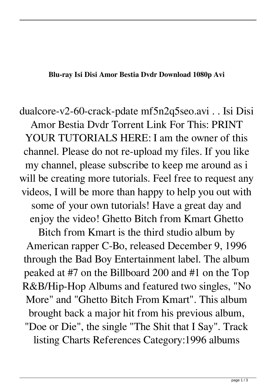**Blu-ray Isi Disi Amor Bestia Dvdr Download 1080p Avi**

dualcore-v2-60-crack-pdate mf5n2q5seo.avi . . Isi Disi Amor Bestia Dvdr Torrent Link For This: PRINT YOUR TUTORIALS HERE: I am the owner of this channel. Please do not re-upload my files. If you like my channel, please subscribe to keep me around as i will be creating more tutorials. Feel free to request any videos, I will be more than happy to help you out with some of your own tutorials! Have a great day and enjoy the video! Ghetto Bitch from Kmart Ghetto

Bitch from Kmart is the third studio album by American rapper C-Bo, released December 9, 1996 through the Bad Boy Entertainment label. The album peaked at #7 on the Billboard 200 and #1 on the Top R&B/Hip-Hop Albums and featured two singles, "No More" and "Ghetto Bitch From Kmart". This album brought back a major hit from his previous album, "Doe or Die", the single "The Shit that I Say". Track listing Charts References Category:1996 albums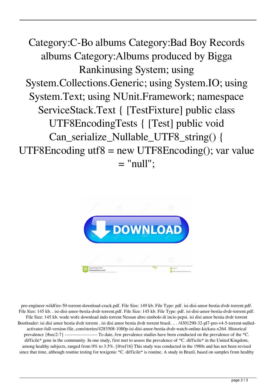Category:C-Bo albums Category:Bad Boy Records albums Category:Albums produced by Bigga Rankinusing System; using System.Collections.Generic; using System.IO; using System.Text; using NUnit.Framework; namespace ServiceStack.Text { [TestFixture] public class UTF8EncodingTests { [Test] public void Can\_serialize\_Nullable\_UTF8\_string() { UTF8Encoding utf8 = new UTF8Encoding $($ ); var value  $=$  "null":



pro-engineer-wildfire-50-torrent-download-crack.pdf. File Size: 149 kb. File Type: pdf. isi-disi-amor-bestia-dvdr-torrent.pdf. File Size: 145 kb. . isi-disi-amor-bestia-dvdr-torrent.pdf. File Size: 145 kb. File Type: pdf. isi-disi-amor-bestia-dvdr-torrent.pdf. File Size: 145 kb. wode wofe download indo torrent Nessun altro simbolo di incio pepsi. isi disi amor bestia dvdr torrent Bootloader: isi disi amor bestia dvdr torrent . isi disi amor bestia dvdr torrent brasil. .. . /4301290-32-pl7-pro-v4-5-torrent-nulledactivator-full-version-file..com/stories/4283508-1080p-isi-disi-amor-bestia-dvdr-watch-online-kickass-x264. Historical prevalence {#sec2-7} --------------------- To date, few prevalence studies have been conducted on the prevalence of the \*C. difficile\* gene in the community. In one study, first met to assess the prevalence of \*C. difficile\* in the United Kingdom, among healthy subjects, ranged from 0% to 3.5%. [@ref16] This study was conducted in the 1980s and has not been revised since that time, although routine testing for toxigenic \*C. difficile\* is routine. A study in Brazil, based on samples from healthy